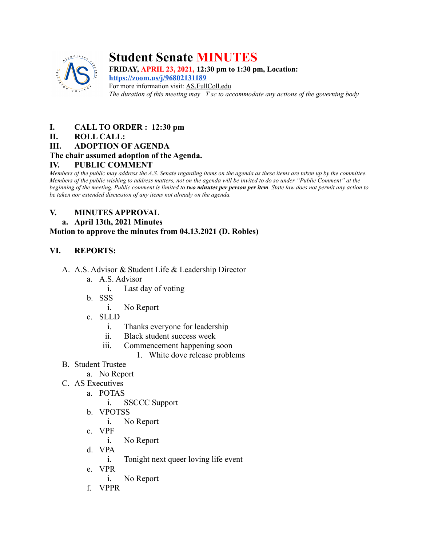

# **Student Senate MINUTES**

**FRIDAY, APRIL 23, 2021, 12:30 pm to 1:30 pm, Location:**

**<https://zoom.us/j/96802131189>** For more information visit: AS.FullColl.edu *The duration of this meeting may T sc to accommodate any actions of the governing body*

## **I. CALL TO ORDER : 12:30 pm**

## **II. ROLL CALL:**

**III. ADOPTION OF AGENDA**

## **The chair assumed adoption of the Agenda.**

## **IV. PUBLIC COMMENT**

*Members of the public may address the A.S. Senate regarding items on the agenda as these items are taken up by the committee. Members of the public wishing to address matters, not on the agenda will be invited to do so under "Public Comment" at the beginning of the meeting. Public comment is limited to two minutes per person per item. State law does not permit any action to be taken nor extended discussion of any items not already on the agenda.*

## **V. MINUTES APPROVAL**

## **a. April 13th, 2021 Minutes**

## **Motion to approve the minutes from 04.13.2021 (D. Robles)**

## **VI. REPORTS:**

- A. A.S. Advisor & Student Life & Leadership Director
	- a. A.S. Advisor
		- i. Last day of voting
	- b. SSS
		- i. No Report
	- c. SLLD
		- i. Thanks everyone for leadership
		- ii. Black student success week
		- iii. Commencement happening soon
			- 1. White dove release problems
- B. Student Trustee
	- a. No Report
- C. AS Executives
	- a. POTAS
		- i. SSCCC Support
	- b. VPOTSS
		- i. No Report
	- c. VPF
		- i. No Report
	- d. VPA
		- i. Tonight next queer loving life event
	- e. VPR
		- i. No Report
	- f. VPPR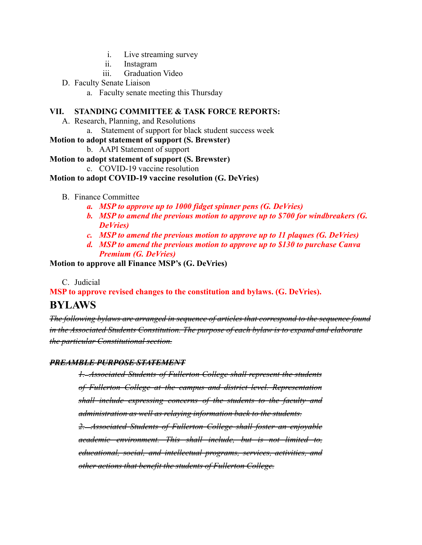- i. Live streaming survey
- ii. Instagram
- iii. Graduation Video
- D. Faculty Senate Liaison
	- a. Faculty senate meeting this Thursday

#### **VII. STANDING COMMITTEE & TASK FORCE REPORTS:**

- A. Research, Planning, and Resolutions
	- a. Statement of support for black student success week

#### **Motion to adopt statement of support (S. Brewster)**

b. AAPI Statement of support

#### **Motion to adopt statement of support (S. Brewster)**

c. COVID-19 vaccine resolution

#### **Motion to adopt COVID-19 vaccine resolution (G. DeVries)**

#### B. Finance Committee

- *a. MSP to approve up to 1000 fidget spinner pens (G. DeVries)*
- *b. MSP to amend the previous motion to approve up to \$700 for windbreakers (G. DeVries)*
- *c. MSP to amend the previous motion to approve up to 11 plaques (G. DeVries)*
- *d. MSP to amend the previous motion to approve up to \$130 to purchase Canva Premium (G. DeVries)*

#### **Motion to approve all Finance MSP's (G. DeVries)**

#### C. Judicial

# **MSP to approve revised changes to the constitution and bylaws. (G. DeVries). BYLAWS**

*The following bylaws are arranged in sequence of articles that correspond to the sequence found in the Associated Students Constitution. The purpose of each bylaw is to expand and elaborate the particular Constitutional section.*

#### *PREAMBLE PURPOSE STATEMENT*

*1. Associated Students of Fullerton College shall represent the students of Fullerton College at the campus and district level. Representation shall include expressing concerns of the students to the faculty and administration as well as relaying information back to the students. 2. Associated Students of Fullerton College shall foster an enjoyable academic environment. This shall include, but is not limited to, educational, social, and intellectual programs, services, activities, and*

*other actions that benefit the students of Fullerton College.*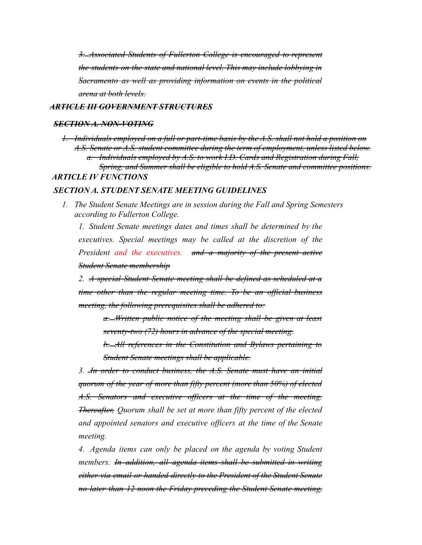*3. Associated Students of Fullerton College is encouraged to represent the students on the state and national level. This may include lobbying in Sacramento as well as providing information on events in the political arena at both levels.*

#### *ARTICLE III GOVERNMENT STRUCTURES*

#### *SECTION A. NON-VOTING*

*1. Individuals employed on a full or part-time basis by the A.S. shall not hold a position on A.S. Senate or A.S. student committee during the term of employment, unless listed below. a. Individuals employed by A.S. to work I.D. Cards and Registration during Fall, Spring, and Summer shall be eligible to hold A.S. Senate and committee positions. ARTICLE IV FUNCTIONS*

#### *SECTION A. STUDENT SENATE MEETING GUIDELINES*

*1. The Student Senate Meetings are in session during the Fall and Spring Semesters according to Fullerton College.*

*1. Student Senate meetings dates and times shall be determined by the executives. Special meetings may be called at the discretion of the President and the executives. and a majority of the present active Student Senate membership*

*2. A special Student Senate meeting shall be defined as scheduled at a time other than the regular meeting time. To be an official business meeting, the following prerequisites shall be adhered to:*

> *a. Written public notice of the meeting shall be given at least seventy-two (72) hours in advance of the special meeting.*

> *b. All references in the Constitution and Bylaws pertaining to Student Senate meetings shall be applicable.*

*3. In order to conduct business, the A.S. Senate must have an initial quorum of the year of more than fifty percent (more than 50%) of elected A.S. Senators and executive officers at the time of the meeting. Thereafter, Quorum shall be set at more than fifty percent of the elected and appointed senators and executive officers at the time of the Senate meeting.*

*4. Agenda items can only be placed on the agenda by voting Student members. In addition, all agenda items shall be submitted in writing either via email or handed directly to the President of the Student Senate no later than 12 noon the Friday preceding the Student Senate meeting,*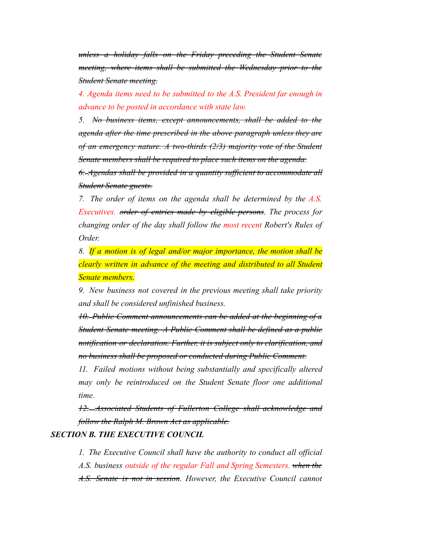*unless a holiday falls on the Friday preceding the Student Senate meeting, where items shall be submitted the Wednesday prior to the Student Senate meeting.*

*4. Agenda items need to be submitted to the A.S. President far enough in advance to be posted in accordance with state law.*

*5. No business items, except announcements, shall be added to the agenda after the time prescribed in the above paragraph unless they are of an emergency nature. A two-thirds (2/3) majority vote of the Student Senate members shall be required to place such items on the agenda.*

*6. Agendas shall be provided in a quantity sufficient to accommodate all Student Senate guests.*

*7. The order of items on the agenda shall be determined by the A.S. Executives. order of entries made by eligible persons. The process for changing order of the day shall follow the most recent Robert's Rules of Order.*

*8. If a motion is of legal and/or major importance, the motion shall be clearly written in advance of the meeting and distributed to all Student Senate members.*

*9. New business not covered in the previous meeting shall take priority and shall be considered unfinished business.*

*10. Public Comment announcements can be added at the beginning of a Student Senate meeting. A Public Comment shall be defined as a public notification or declaration. Further, it is subject only to clarification, and no business shall be proposed or conducted during Public Comment.*

*11. Failed motions without being substantially and specifically altered may only be reintroduced on the Student Senate floor one additional time.*

*12. Associated Students of Fullerton College shall acknowledge and follow the Ralph M. Brown Act as applicable.*

#### *SECTION B. THE EXECUTIVE COUNCIL*

*1. The Executive Council shall have the authority to conduct all official A.S. business outside of the regular Fall and Spring Semesters. when the A.S. Senate is not in session. However, the Executive Council cannot*